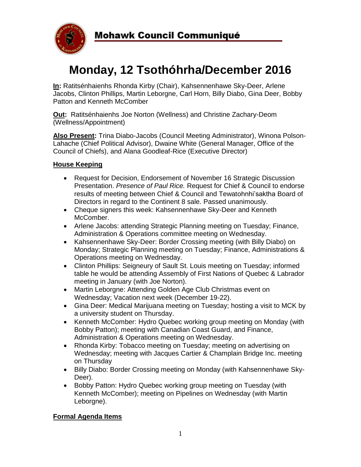

# **Monday, 12 Tsothóhrha/December 2016**

**In:** Ratitsénhaienhs Rhonda Kirby (Chair), Kahsennenhawe Sky-Deer, Arlene Jacobs, Clinton Phillips, Martin Leborgne, Carl Horn, Billy Diabo, Gina Deer, Bobby Patton and Kenneth McComber

**Out:** Ratitsénhaienhs Joe Norton (Wellness) and Christine Zachary-Deom (Wellness/Appointment)

**Also Present:** Trina Diabo-Jacobs (Council Meeting Administrator), Winona Polson-Lahache (Chief Political Advisor), Dwaine White (General Manager, Office of the Council of Chiefs), and Alana Goodleaf-Rice (Executive Director)

# **House Keeping**

- Request for Decision, Endorsement of November 16 Strategic Discussion Presentation. *Presence of Paul Rice.* Request for Chief & Council to endorse results of meeting between Chief & Council and Tewatohnhi'saktha Board of Directors in regard to the Continent 8 sale. Passed unanimously.
- Cheque signers this week: Kahsennenhawe Sky-Deer and Kenneth McComber.
- Arlene Jacobs: attending Strategic Planning meeting on Tuesday; Finance, Administration & Operations committee meeting on Wednesday.
- Kahsennenhawe Sky-Deer: Border Crossing meeting (with Billy Diabo) on Monday; Strategic Planning meeting on Tuesday; Finance, Administrations & Operations meeting on Wednesday.
- Clinton Phillips: Seigneury of Sault St. Louis meeting on Tuesday; informed table he would be attending Assembly of First Nations of Quebec & Labrador meeting in January (with Joe Norton).
- Martin Leborgne: Attending Golden Age Club Christmas event on Wednesday; Vacation next week (December 19-22).
- Gina Deer: Medical Marijuana meeting on Tuesday; hosting a visit to MCK by a university student on Thursday.
- Kenneth McComber: Hydro Quebec working group meeting on Monday (with Bobby Patton); meeting with Canadian Coast Guard, and Finance, Administration & Operations meeting on Wednesday.
- Rhonda Kirby: Tobacco meeting on Tuesday; meeting on advertising on Wednesday; meeting with Jacques Cartier & Champlain Bridge Inc. meeting on Thursday
- Billy Diabo: Border Crossing meeting on Monday (with Kahsennenhawe Sky-Deer).
- Bobby Patton: Hydro Quebec working group meeting on Tuesday (with Kenneth McComber); meeting on Pipelines on Wednesday (with Martin Leborgne).

## **Formal Agenda Items**